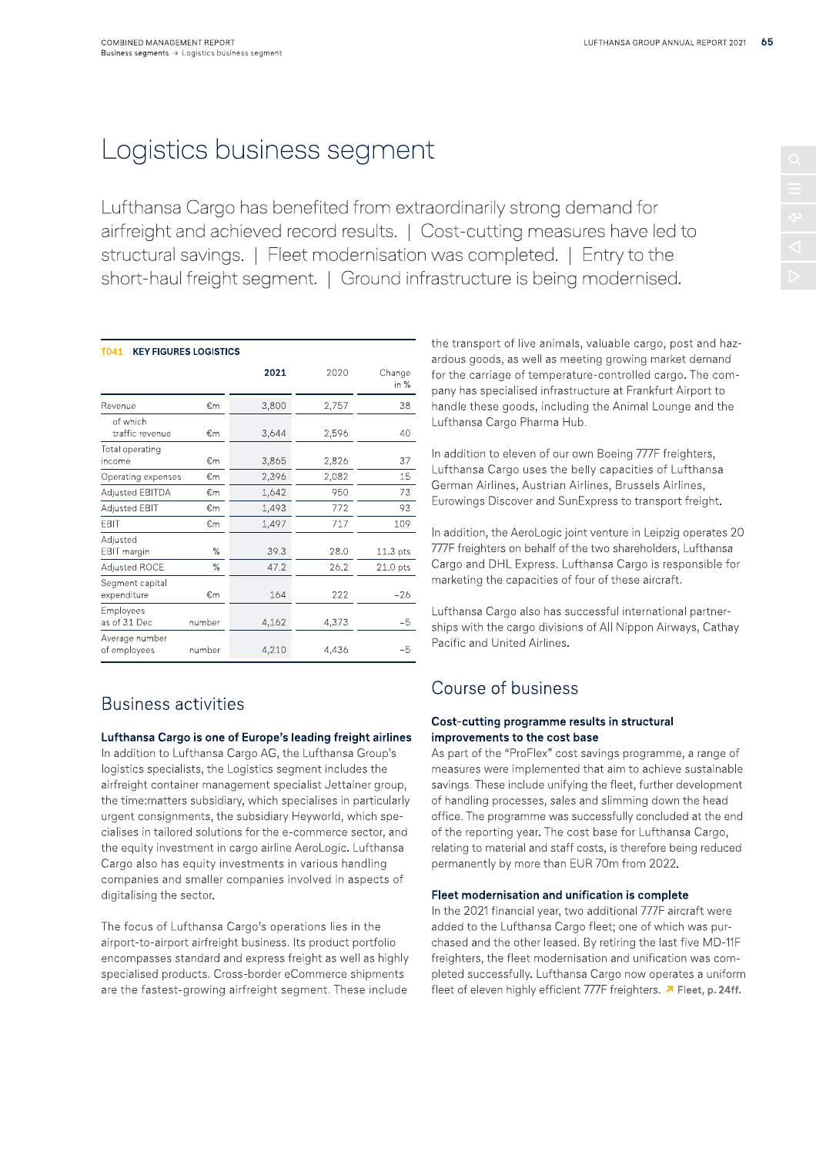# Logistics business segment

Lufthansa Cargo has benefited from extraordinarily strong demand for airfreight and achieved record results. | Cost-cutting measures have led to structural savings. | Fleet modernisation was completed. | Entry to the short-haul freight segment. | Ground infrastructure is being modernis

| T041<br><b>KEY FIGURES LOGISTICS</b> |        |       |       |                     | the transport of live animals, valuable cargo, post<br>ardous goods, as well as meeting growing market d         |  |  |
|--------------------------------------|--------|-------|-------|---------------------|------------------------------------------------------------------------------------------------------------------|--|--|
|                                      |        | 2021  | 2020  | Change<br>in %      | for the carriage of temperature-controlled cargo. T<br>pany has specialised infrastructure at Frankfurt Airp     |  |  |
| Revenue                              | €m     | 3,800 | 2,757 | 38                  | handle these goods, including the Animal Lounge a                                                                |  |  |
| of which<br>traffic revenue          | €m     | 3,644 | 2,596 | 40                  | Lufthansa Cargo Pharma Hub.                                                                                      |  |  |
| Total operating<br>income            | €m     | 3,865 | 2,826 | 37                  | In addition to eleven of our own Boeing 777F freight                                                             |  |  |
| Operating expenses                   | €m     | 2,396 | 2,082 | 15                  | Lufthansa Cargo uses the belly capacities of Lufth                                                               |  |  |
| Adjusted EBITDA                      | €m     | 1,642 | 950   | 73                  | German Airlines, Austrian Airlines, Brussels Airline                                                             |  |  |
| Adjusted EBIT                        | €m     | 1,493 | 772   | 93                  | Eurowings Discover and SunExpress to transport fre                                                               |  |  |
| <b>EBIT</b>                          | €m     | 1,497 | 717   | 109                 |                                                                                                                  |  |  |
| Adjusted<br>EBIT margin              | %      | 39.3  | 28.0  | 11.3 <sub>pts</sub> | In addition, the AeroLogic joint venture in Leipzig op<br>777F freighters on behalf of the two shareholders, Lut |  |  |
| Adjusted ROCE                        | $\%$   | 47.2  | 26.2  | 21.0 pts            | Cargo and DHL Express. Lufthansa Cargo is respor                                                                 |  |  |
| Segment capital<br>expenditure       | €m     | 164   | 222   | $-26$               | marketing the capacities of four of these aircraft.                                                              |  |  |
| Employees<br>as of 31 Dec            | number | 4,162 | 4,373 | -5                  | Lufthansa Cargo also has successful international p<br>ships with the cargo divisions of All Nippon Airways      |  |  |
| Average number<br>of employees       | number | 4,210 | 4,436 | $-5$                | Pacific and United Airlines.                                                                                     |  |  |

## Business activities

### Lufthansa Cargo is one of Europe's leading freight airlines

In addition to Lufthansa Cargo AG, the Lufthansa Group's logistics specialists, the Logistics segment includes the airfreight container management specialist Jettainer group, the time:matters subsidiary, which specialises in particularly urgent consignments, the subsidiary Heyworld, which specialises in tailored solutions for the e-commerce sector, and the equity investment in cargo airline AeroLogic. Lufthansa Cargo also has equity investments in various handling companies and smaller companies involved in aspects of digitalising the sector.

The focus of Lufthansa Cargo's operations lies in the airport-to-airport airfreight business. Its product portfolio encompasses standard and express freight as well as highly specialised products. Cross-border eCommerce shipments are the fastest-growing airfreight segment. These include

the transport of live animals, valuable cargo, post and hazardous goods, as well as meeting growing market demand for the carriage of temperature-controlled cargo. The company has specialised infrastructure at Frankfurt Airport to handle these goods, including the Animal Lounge and the Lufthansa Cargo Pharma Hub.

In addition to eleven of our own Boeing 777F freighters, Lufthansa Cargo uses the belly capacities of Lufthansa German Airlines, Austrian Airlines, Brussels Airlines, Eurowings Discover and SunExpress to transport freight.

In addition, the AeroLogic joint venture in Leipzig operates 20 777F freighters on behalf of the two shareholders, Lufthansa Cargo and DHL Express. Lufthansa Cargo is responsible for marketing the capacities of four of these aircraft.

Lufthansa Cargo also has successful international partnerships with the cargo divisions of All Nippon Airways, Cathay Pacific and United Airlines.

### Course of business

#### Cost-cutting programme results in structural improvements to the cost base

As part of the "ProFlex" cost savings programme, a range of measures were implemented that aim to achieve sustainable savings. These include unifying the fleet, further development of handling processes, sales and slimming down the head office. The programme was successfully concluded at the end of the reporting year. The cost base for Lufthansa Cargo, relating to material and staff costs, is therefore being reduced<br>permanently by more than EUR 70m from 2022.

list Jettainer group, savings. These include unifying the fleet, further development<br>alises in particularly of handling processes, sales and slimming down the head<br>world, which spe-<br>office. The programme was successfully c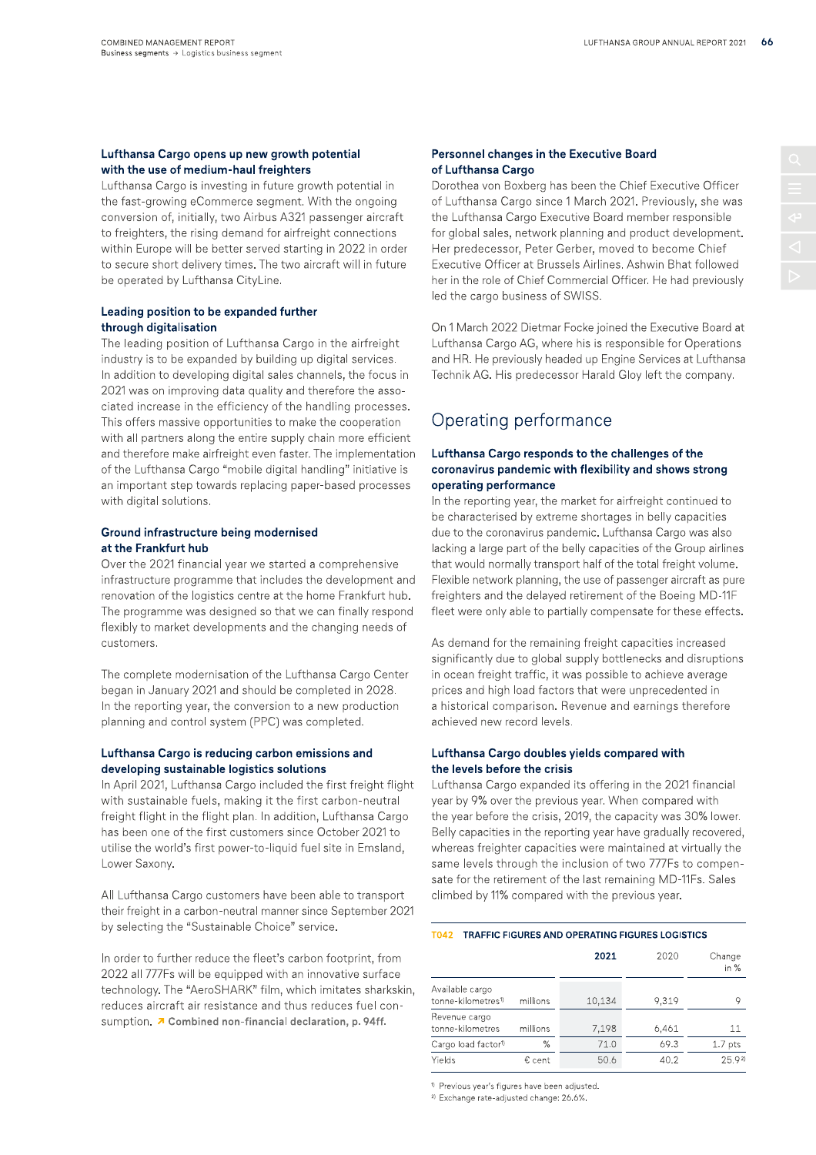#### Lufthansa Cargo opens up new growth potential with the use of medium-haul freighters

Lufthansa Cargo is investing in future growth potential in the fast-growing eCommerce segment. With the ongoing conversion of, initially, two Airbus A321 passenger aircraft to freighters, the rising demand for airfreight connections within Europe will be better served starting in 2022 in order to secure short delivery times. The two aircraft will in future be operated by Lufthansa CityLine.

#### Leading position to be expanded further through digitalisation

The leading position of Lufthansa Cargo in the airfreight industry is to be expanded by building up digital services. In addition to developing digital sales channels, the focus in 2021 was on improving data quality and therefore the associated increase in the efficiency of the handling processes. This offers massive opportunities to make the cooperation with all partners along the entire supply chain more efficient and therefore make airfreight even faster. The implementation of the Lufthansa Cargo "mobile digital handling" initiative is an important step towards replacing paper-based processes with digital solutions.

#### Ground infrastructure being modernised at the Frankfurt hub

Over the 2021 financial year we started a comprehensive infrastructure programme that includes the development and renovation of the logistics centre at the home Frankfurt hub. The programme was designed so that we can finally respond flexibly to market developments and the changing needs of customers.

The complete modernisation of the Lufthansa Cargo Center began in January 2021 and should be completed in 2028. In the reporting year, the conversion to a new production planning and control system (PPC) was completed.

#### Lufthansa Cargo is reducing carbon emissions and developing sustainable logistics solutions

In April 2021, Lufthansa Cargo included the first freight flight with sustainable fuels, making it the first carbon-neutral freight flight in the flight plan. In addition, Lufthansa Cargo has been one of the first customers since October 2021 to utilise the world's first power-to-liquid fuel site in Emsland, Lower Saxony.

All Lufthansa Cargo customers have been able to transport their freight in a carbon-neutral manner since September 2021 by selecting the "Sustainable Choice" service.

In order to further reduce the fleet's carbon footprint, from 2022 all 777Fs will be equipped with an innovative surface technology. The "AeroSHARK" film, which imitates sharkskin, reduces aircraft air resistance and thus reduces fuel consumption. 7 Combined non-financial declaration, p. 94ff.

#### Personnel changes in the Executive Board of Lufthansa Cargo

Dorothea von Boxberg has been the Chief Executive Officer of Lufthansa Cargo since 1 March 2021. Previously, she was the Lufthansa Cargo Executive Board member responsible for global sales, network planning and product development. Her predecessor, Peter Gerber, moved to become Chief Executive Officer at Brussels Airlines. Ashwin Bhat followed her in the role of Chief Commercial Officer. He had previously led the cargo business of SWISS.

On 1 March 2022 Dietmar Focke joined the Executive Board at Lufthansa Cargo AG, where his is responsible for Operations and HR. He previously headed up Engine Services at Lufthansa Technik AG. His predecessor Harald Gloy left the company.

### Operating performance

#### Lufthansa Cargo responds to the challenges of the coronavirus pandemic with flexibility and shows strong operating performance

In the reporting year, the market for airfreight continued to be characterised by extreme shortages in belly capacities due to the coronavirus pandemic. Lufthansa Cargo was also lacking a large part of the belly capacities of the Group airlines that would normally transport half of the total freight volume. Flexible network planning, the use of passenger aircraft as pure freighters and the delayed retirement of the Boeing MD-11F fleet were only able to partially compensate for these effects.

As demand for the remaining freight capacities increased significantly due to global supply bottlenecks and disruptions in ocean freight traffic, it was possible to achieve average prices and high load factors that were unprecedented in a historical comparison. Revenue and earnings therefore achieved new record levels.

#### Lufthansa Cargo doubles yields compared with the levels before the crisis

Lufthansa Cargo expanded its offering in the 2021 financial year by 9% over the previous year. When compared with the year before the crisis, 2019, the capacity was 30% lower. Belly capacities in the reporting year have gradually recovered, whereas freighter capacities were maintained at virtually the same levels through the inclusion of two 777Fs to compensate for the retirement of the last remaining MD-11Fs. Sales climbed by 11% compared with the previous year.

#### T042 TRAFFIC FIGURES AND OPERATING FIGURES LOGISTICS

|                                                   |          | 2021   | 2020  | Change<br>in $%$   |
|---------------------------------------------------|----------|--------|-------|--------------------|
| Available cargo<br>tonne-kilometres <sup>1)</sup> | millions | 10,134 | 9.319 | 9                  |
| Revenue cargo<br>tonne-kilometres                 | millions | 7,198  | 6,461 | 11                 |
| Cargo load factor <sup>1)</sup>                   | %        | 71.0   | 69.3  | 1.7 <sub>pts</sub> |
| Yields                                            | € cent   | 50.6   | 40.2  | 25.92              |

<sup>1)</sup> Previous year's figures have been adjusted.

<sup>2)</sup> Exchange rate-adjusted change: 26.6%.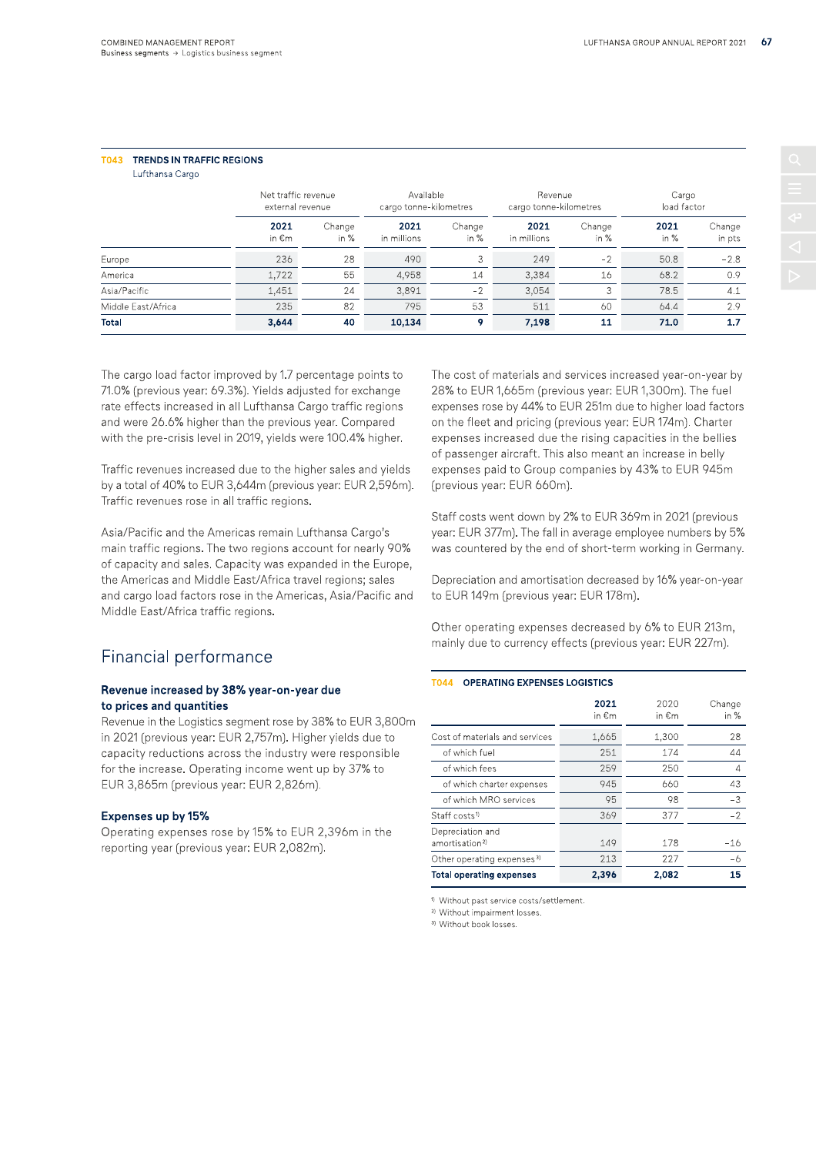### T043 TRENDS IN TRAFFIC REGIONS

Lufthansa Cargo

|                    | Net traffic revenue<br>external revenue |                  | Available<br>cargo tonne-kilometres |                  | Revenue<br>cargo tonne-kilometres |                  | Cargo<br>load factor |                  |
|--------------------|-----------------------------------------|------------------|-------------------------------------|------------------|-----------------------------------|------------------|----------------------|------------------|
|                    | 2021<br>in €m                           | Change<br>in $%$ | 2021<br>in millions                 | Change<br>in $%$ | 2021<br>in millions               | Change<br>in $%$ | 2021<br>in %         | Change<br>in pts |
| Europe             | 236                                     | 28               | 490                                 |                  | 249                               | $-2$             | 50.8                 | $-2.8$           |
| America            | 1,722                                   | 55               | 4.958                               | 14               | 3,384                             | 16               | 68.2                 | 0.9              |
| Asia/Pacific       | 1,451                                   | 24               | 3.891                               | $-2$             | 3.054                             | 3                | 78.5                 | 4.1              |
| Middle East/Africa | 235                                     | 82               | 795                                 | 53               | 511                               | 60               | 64.4                 | 2.9              |
| <b>Total</b>       | 3,644                                   | 40               | 10,134                              | 9                | 7,198                             | 11               | 71.0                 | 1.7              |

The cargo load factor improved by 1.7 percentage points to 71.0% (previous year: 69.3%). Yields adjusted for exchange rate effects increased in all Lufthansa Cargo traffic regions and were 26.6% higher than the previous year. Compared with the pre-crisis level in 2019, yields were 100.4% higher.

Traffic revenues increased due to the higher sales and yields by a total of 40% to EUR 3,644m (previous year: EUR 2,596m). Traffic revenues rose in all traffic regions.

Asia/Pacific and the Americas remain Lufthansa Cargo's main traffic regions. The two regions account for nearly 90% of capacity and sales. Capacity was expanded in the Europe, the Americas and Middle East/Africa travel regions; sales and cargo load factors rose in the Americas, Asia/Pacific and Middle East/Africa traffic regions.

### Financial performance

#### Revenue increased by 38% year-on-year due to prices and quantities

Revenue in the Logistics segment rose by 38% to EUR 3,800m in 2021 (previous year: EUR 2,757m). Higher yields due to capacity reductions across the industry were responsible for the increase. Operating income went up by 37% to EUR 3,865m (previous year: EUR 2,826m).

#### Expenses up by 15%

Operating expenses rose by 15% to EUR 2,396m in the reporting year (previous year: EUR 2,082m).

The cost of materials and services increased year-on-year by 28% to EUR 1,665m (previous year: EUR 1,300m). The fuel expenses rose by 44% to EUR 251m due to higher load factors on the fleet and pricing (previous year: EUR 174m). Charter expenses increased due the rising capacities in the bellies of passenger aircraft. This also meant an increase in belly expenses paid to Group companies by 43% to EUR 945m (previous year: EUR 660m).

Staff costs went down by 2% to EUR 369m in 2021 (previous year: EUR 377m). The fall in average employee numbers by 5% was countered by the end of short-term working in Germany.

Depreciation and amortisation decreased by 16% year-on-year to EUR 149m (previous year: EUR 178m).

Other operating expenses decreased by 6% to EUR 213m, mainly due to currency effects (previous year: EUR 227m).

#### **T044 OPERATING EXPENSES LOGISTICS**

|                                                | 2021<br>in €m | 2020<br>in €m | Change<br>in $%$ |
|------------------------------------------------|---------------|---------------|------------------|
| Cost of materials and services                 | 1,665         | 1,300         | 28               |
| of which fuel                                  | 251           | 174           | 44               |
| of which fees                                  | 259           | 250           | 4                |
| of which charter expenses                      | 945           | 660           | 43               |
| of which MRO services                          | 95            | 98            | $-3$             |
| Staff costs <sup>1)</sup>                      | 369           | 377           | $-2$             |
| Depreciation and<br>amortisation <sup>2)</sup> | 149           | 178           | $-16$            |
| Other operating expenses <sup>3)</sup>         | 213           | 227           | -6               |
| <b>Total operating expenses</b>                | 2,396         | 2,082         | 15               |

<sup>1)</sup> Without past service costs/settlement.

<sup>2)</sup> Without impairment losses.

<sup>3)</sup> Without book losses